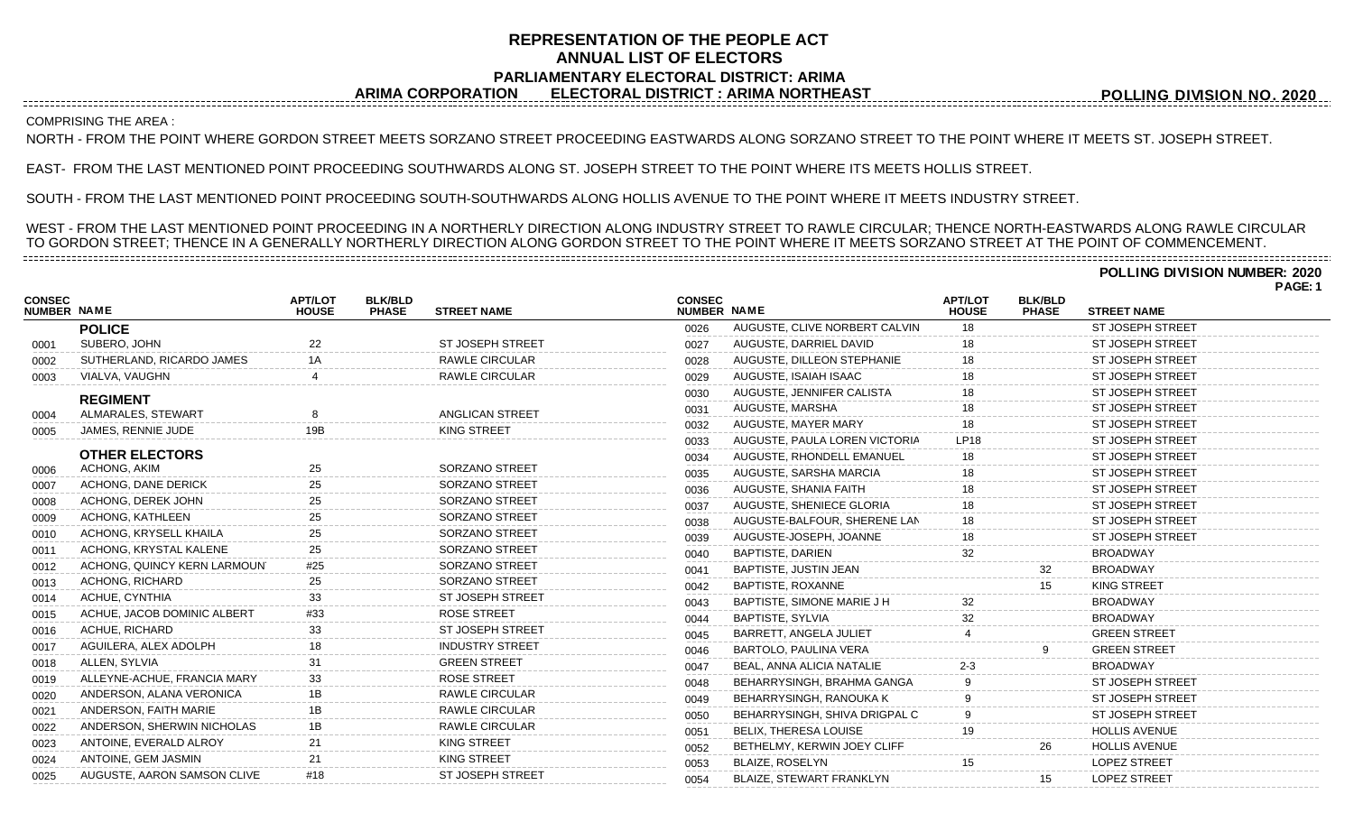## **REPRESENTATION OF THE PEOPLE ACT ANNUAL LIST OF ELECTORS PARLIAMENTARY ELECTORAL DISTRICT: ARIMA ARIMA CORPORATION ELECTORAL DISTRICT : ARIMA NORTHEAST**

**POLLING DIVISION NO. 2020**

COMPRISING THE AREA :

0023 ANTOINE, EVERALD ALROY 21 21 KING STREET 0024 ANTOINE, GEM JASMIN 21 21 KING STREET 0025 AUGUSTE, AARON SAMSON CLIVE #18 ST JOSEPH STREET

NORTH - FROM THE POINT WHERE GORDON STREET MEETS SORZANO STREET PROCEEDING EASTWARDS ALONG SORZANO STREET TO THE POINT WHERE IT MEETS ST. JOSEPH STREET.

EAST- FROM THE LAST MENTIONED POINT PROCEEDING SOUTHWARDS ALONG ST. JOSEPH STREET TO THE POINT WHERE ITS MEETS HOLLIS STREET.

SOUTH - FROM THE LAST MENTIONED POINT PROCEEDING SOUTH-SOUTHWARDS ALONG HOLLIS AVENUE TO THE POINT WHERE IT MEETS INDUSTRY STREET.

WEST - FROM THE LAST MENTIONED POINT PROCEEDING IN A NORTHERLY DIRECTION ALONG INDUSTRY STREET TO RAWLE CIRCULAR; THENCE NORTH-EASTWARDS ALONG RAWLE CIRCULAR TO GORDON STREET; THENCE IN A GENERALLY NORTHERLY DIRECTION ALONG GORDON STREET TO THE POINT WHERE IT MEETS SORZANO STREET AT THE POINT OF COMMENCEMENT. 

**PAGE: 1 NAME NUMBER HOUSE PHASE STREET NAME APT/LOT BLK/BLD CONSEC POLICE** 0001 SUBERO, JOHN 22 ST JOSEPH STREET 0002 SUTHERLAND, RICARDO JAMES 1A RAWLE CIRCULAR 0003 VIALVA, VAUGHN 4 4 RAWLE CIRCULAR **REGIMENT** 0004 ALMARALES, STEWART 8 8 ANGLICAN STREET 0005 JAMES, RENNIE JUDE 19B 19B KING STREET **OTHER ELECTORS** 0006 ACHONG, AKIM 25 25 SORZANO STREET 0007 ACHONG, DANE DERICK 25 SORZANO STREET 0008 ACHONG, DEREK JOHN 25 25 SORZANO STREET 0009 ACHONG, KATHLEEN 25 25 SORZANO STREET 0010 ACHONG, KRYSELL KHAILA 25 25 SORZANO STREET 0011 ACHONG, KRYSTAL KALENE 25 25 SORZANO STREET 0012 ACHONG, QUINCY KERN LARMOUNT #25 SORZANO STREET 0013 ACHONG, RICHARD 25 SORZANO STREET<br>0014 ACHUE. CYNTHIA 33 ST JOSEPH STREE 0014 ACHUE, CYNTHIA 33 ST JOSEPH STREET 0015 ACHUE, JACOB DOMINIC ALBERT #33 ROSE STREET 0016 ACHUE, RICHARD 33 ST JOSEPH STREET 0017 AGUILERA, ALEX ADOLPH 18 18 INDUSTRY STREET 0018 ALLEN, SYLVIA 31 GREEN STREET 0019 ALLEYNE-ACHUE, FRANCIA MARY 33 ROSE STREET 0020 ANDERSON, ALANA VERONICA 1B 19 RAWLE CIRCULAR 0021 ANDERSON, FAITH MARIE 18 18 RAWLE CIRCULAR 0022 ANDERSON, SHERWIN NICHOLAS 1B 18 RAWLE CIRCULAR **NAME NUMBER HOUSE PHASE STREET NAME APT/LOT BLK/BLD CONSEC** 0026 AUGUSTE, CLIVE NORBERT CALVIN 18 ST JOSEPH STREET 0027 AUGUSTE, DARRIEL DAVID
18 18 ST JOSEPH STREET 0028 AUGUSTE, DILLEON STEPHANIE 18 18 ST JOSEPH STREET 0029 AUGUSTE, ISAIAH ISAAC 18 18 ST JOSEPH STREET 0030 AUGUSTE, JENNIFER CALISTA 18 ST JOSEPH STREET 0031 AUGUSTE, MARSHA 18 18 ST JOSEPH STREET 0032 AUGUSTE, MAYER MARY 18 18 ST JOSEPH STREET 0033 AUGUSTE, PAULA LOREN VICTORIA LP18 ST JOSEPH STREET 0034 AUGUSTE, RHONDELL EMANUEL 18 18 ST JOSEPH STREET 0035 AUGUSTE, SARSHA MARCIA 18 18 ST JOSEPH STREET 0036 AUGUSTE, SHANIA FAITH 18 18 ST JOSEPH STREET 0037 AUGUSTE, SHENIECE GLORIA 18 18 ST JOSEPH STREET 0038 AUGUSTE-BALFOUR, SHERENE LAN 18 ST JOSEPH STREET 0039 AUGUSTE-JOSEPH, JOANNE 18 18 ST JOSEPH STREET 0040 BAPTISTE, DARIEN 32 BROADWAY 0041 BAPTISTE, JUSTIN JEAN 32 BROADWAY 0042 BAPTISTE, ROXANNE 15 KING STREET 0043 BAPTISTE, SIMONE MARIE J H 32 BROADWAY 0044 BAPTISTE, SYLVIA 32 BROADWAY 0045 BARRETT, ANGELA JULIET 4 GREEN STREET 0046 BARTOLO, PAULINA VERA 8 8 9 GREEN STREET 0047 BEAL, ANNA ALICIA NATALIE 2-3 BROADWAY 0048 BEHARRYSINGH, BRAHMA GANGA 9 ST JOSEPH STREET 0049 BEHARRYSINGH, RANOUKA K 9 9 ST JOSEPH STREET 0050 BEHARRYSINGH, SHIVA DRIGPAL C 9 9 ST JOSEPH STREET 0051 BELIX, THERESA LOUISE 19 19 HOLLIS AVENUE

> 0052 BETHELMY, KERWIN JOEY CLIFF 26 HOLLIS AVENUE 0053 BLAIZE, ROSELYN 15 15 LOPEZ STREET 0054 BLAIZE, STEWART FRANKLYN 15 15 LOPEZ STREET

**POLLING DIVISION NUMBER: 2020**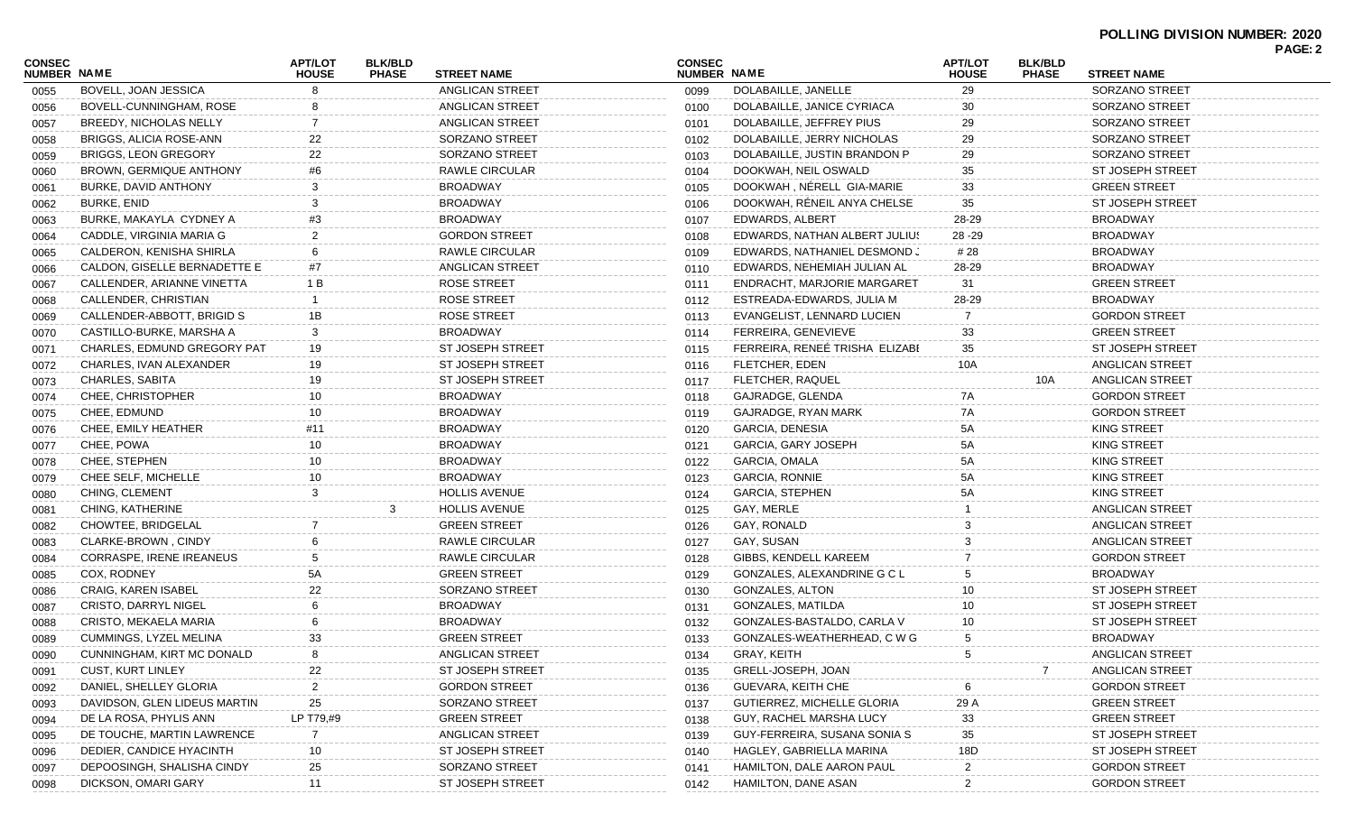|                              |                                 |                                |                                |                         |                                     |                                   |                                |                                |                         | <b>PAGE: 2</b> |
|------------------------------|---------------------------------|--------------------------------|--------------------------------|-------------------------|-------------------------------------|-----------------------------------|--------------------------------|--------------------------------|-------------------------|----------------|
| <b>CONSEC</b><br>NUMBER NAME |                                 | <b>APT/LOT</b><br><b>HOUSE</b> | <b>BLK/BLD</b><br><b>PHASE</b> | <b>STREET NAME</b>      | <b>CONSEC</b><br><b>NUMBER NAME</b> |                                   | <b>APT/LOT</b><br><b>HOUSE</b> | <b>BLK/BLD</b><br><b>PHASE</b> | <b>STREET NAME</b>      |                |
| 0055                         | BOVELL, JOAN JESSICA            |                                |                                | ANGLICAN STREET         | 0099                                | DOLABAILLE, JANELLE               | 29                             |                                | SORZANO STREET          |                |
| 0056                         | BOVELL-CUNNINGHAM, ROSE         |                                |                                | ANGLICAN STREET         | 0100                                | DOLABAILLE, JANICE CYRIACA        | 30                             |                                | SORZANO STREET          |                |
| 0057                         | <b>BREEDY, NICHOLAS NELLY</b>   | -7                             |                                | ANGLICAN STREET         | 0101                                | DOLABAILLE, JEFFREY PIUS          | 29                             |                                | SORZANO STREET          |                |
| 0058                         | BRIGGS, ALICIA ROSE-ANN         | 22                             |                                | SORZANO STREET          | 0102                                | DOLABAILLE, JERRY NICHOLAS        | 29                             |                                | <b>SORZANO STREET</b>   |                |
| 0059                         | <b>BRIGGS, LEON GREGORY</b>     | 22                             |                                | SORZANO STREET          | 0103                                | DOLABAILLE, JUSTIN BRANDON P      | 29                             |                                | SORZANO STREET          |                |
| 0060                         | BROWN, GERMIQUE ANTHONY         | #6                             |                                | <b>RAWLE CIRCULAR</b>   | 0104                                | DOOKWAH, NEIL OSWALD              | 35                             |                                | <b>ST JOSEPH STREET</b> |                |
| 0061                         | <b>BURKE, DAVID ANTHONY</b>     | 3                              |                                | <b>BROADWAY</b>         | 0105                                | DOOKWAH, NÉRELL GIA-MARIE         | 33                             |                                | <b>GREEN STREET</b>     |                |
| 0062                         | <b>BURKE, ENID</b>              |                                |                                | <b>BROADWAY</b>         | 0106                                | DOOKWAH, RÉNEIL ANYA CHELSE       | 35                             |                                | <b>ST JOSEPH STREET</b> |                |
| 0063                         | BURKE, MAKAYLA CYDNEY A         | #3                             |                                | <b>BROADWAY</b>         | 0107                                | <b>EDWARDS, ALBERT</b>            | 28-29                          |                                | <b>BROADWAY</b>         |                |
| 0064                         | CADDLE, VIRGINIA MARIA G        | $\overline{2}$                 |                                | <b>GORDON STREET</b>    | 0108                                | EDWARDS, NATHAN ALBERT JULIUS     | $28 - 29$                      |                                | <b>BROADWAY</b>         |                |
| 0065                         | CALDERON, KENISHA SHIRLA        | 6                              |                                | <b>RAWLE CIRCULAR</b>   | 0109                                | EDWARDS, NATHANIEL DESMOND J      | # 28                           |                                | <b>BROADWAY</b>         |                |
| 0066                         | CALDON, GISELLE BERNADETTE E    | #7                             |                                | ANGLICAN STREET         | 0110                                | EDWARDS, NEHEMIAH JULIAN AL       | 28-29                          |                                | <b>BROADWAY</b>         |                |
| 0067                         | CALLENDER, ARIANNE VINETTA      | 1 B                            |                                | ROSE STREET             | 0111                                | ENDRACHT, MARJORIE MARGARET       | 31                             |                                | <b>GREEN STREET</b>     |                |
| 0068                         | CALLENDER, CHRISTIAN            |                                |                                | <b>ROSE STREET</b>      | 0112                                | ESTREADA-EDWARDS, JULIA M         | 28-29                          |                                | <b>BROADWAY</b>         |                |
| 0069                         | CALLENDER-ABBOTT, BRIGID S      | 1B                             |                                | <b>ROSE STREET</b>      | 0113                                | EVANGELIST, LENNARD LUCIEN        |                                |                                | <b>GORDON STREET</b>    |                |
| 0070                         | CASTILLO-BURKE, MARSHA A        | -3                             |                                | <b>BROADWAY</b>         | 0114                                | FERREIRA, GENEVIEVE               | 33                             |                                | <b>GREEN STREET</b>     |                |
| 0071                         | CHARLES, EDMUND GREGORY PAT     | 19                             |                                | ST JOSEPH STREET        | 0115                                | FERREIRA, RENEÉ TRISHA ELIZABI    | 35                             |                                | <b>ST JOSEPH STREET</b> |                |
| 0072                         | CHARLES, IVAN ALEXANDER         | 19                             |                                | <b>ST JOSEPH STREET</b> | 0116                                | FLETCHER, EDEN                    | 10A                            |                                | ANGLICAN STREET         |                |
| 0073                         | <b>CHARLES, SABITA</b>          | 19                             |                                | ST JOSEPH STREET        | 0117                                | FLETCHER, RAQUEL                  |                                | 10A                            | ANGLICAN STREET         |                |
| 0074                         | CHEE, CHRISTOPHER               | 10                             |                                | <b>BROADWAY</b>         | 0118                                | GAJRADGE, GLENDA                  | 7A                             |                                | <b>GORDON STREET</b>    |                |
| 0075                         | CHEE, EDMUND                    | 10                             |                                | <b>BROADWAY</b>         | 0119                                | <b>GAJRADGE, RYAN MARK</b>        | 7A                             |                                | <b>GORDON STREET</b>    |                |
| 0076                         | CHEE, EMILY HEATHER             | #11                            |                                | <b>BROADWAY</b>         | 0120                                | <b>GARCIA, DENESIA</b>            | 5A                             |                                | <b>KING STREET</b>      |                |
| 0077                         | CHEE, POWA                      | 10                             |                                | <b>BROADWAY</b>         | 0121                                | <b>GARCIA, GARY JOSEPH</b>        | 5A                             |                                | <b>KING STREET</b>      |                |
| 0078                         | CHEE, STEPHEN                   | 10                             |                                | <b>BROADWAY</b>         | 0122                                | GARCIA, OMALA                     | 5A                             |                                | <b>KING STREET</b>      |                |
| 0079                         | CHEE SELF, MICHELLE             | 10                             |                                | <b>BROADWAY</b>         | 0123                                | <b>GARCIA, RONNIE</b>             | 5A                             |                                | <b>KING STREET</b>      |                |
| 0080                         | CHING, CLEMENT                  | 3                              |                                | <b>HOLLIS AVENUE</b>    | 0124                                | <b>GARCIA, STEPHEN</b>            | 5A                             |                                | <b>KING STREET</b>      |                |
| 0081                         | CHING, KATHERINE                |                                | 3                              | <b>HOLLIS AVENUE</b>    | 0125                                | GAY, MERLE                        |                                |                                | ANGLICAN STREET         |                |
| 0082                         | CHOWTEE, BRIDGELAL              |                                |                                | <b>GREEN STREET</b>     | 0126                                | GAY, RONALD                       |                                |                                | ANGLICAN STREET         |                |
| 0083                         | <b>CLARKE-BROWN, CINDY</b>      |                                |                                | <b>RAWLE CIRCULAR</b>   | 0127                                | GAY, SUSAN                        |                                |                                | ANGLICAN STREET         |                |
| 0084                         | <b>CORRASPE, IRENE IREANEUS</b> |                                |                                | <b>RAWLE CIRCULAR</b>   | 0128                                | GIBBS, KENDELL KAREEM             |                                |                                | <b>GORDON STREET</b>    |                |
| 0085                         | COX, RODNEY                     | 5Α                             |                                | <b>GREEN STREET</b>     | 0129                                | GONZALES, ALEXANDRINE G C L       |                                |                                | <b>BROADWAY</b>         |                |
| 0086                         | <b>CRAIG, KAREN ISABEL</b>      | 22                             |                                | SORZANO STREET          | 0130                                | <b>GONZALES, ALTON</b>            |                                |                                | <b>ST JOSEPH STREET</b> |                |
| 0087                         | <b>CRISTO, DARRYL NIGEL</b>     |                                |                                | <b>BROADWAY</b>         | 0131                                | <b>GONZALES, MATILDA</b>          |                                |                                | <b>ST JOSEPH STREET</b> |                |
| 0088                         | CRISTO, MEKAELA MARIA           |                                |                                | <b>BROADWAY</b>         | 0132                                | GONZALES-BASTALDO, CARLA V        |                                |                                | ST JOSEPH STREET        |                |
| 0089                         | CUMMINGS, LYZEL MELINA          | 33                             |                                | <b>GREEN STREET</b>     | 0133                                | GONZALES-WEATHERHEAD, C W G       | 5                              |                                | <b>BROADWAY</b>         |                |
| 0090                         | CUNNINGHAM, KIRT MC DONALD      | 8                              |                                | ANGLICAN STREET         | 0134                                | GRAY, KEITH                       | 5                              |                                | ANGLICAN STREET         |                |
| 0091                         | <b>CUST, KURT LINLEY</b>        | 22                             |                                | ST JOSEPH STREET        | 0135                                | GRELL-JOSEPH, JOAN                |                                | 7                              | ANGLICAN STREET         |                |
| 0092                         | DANIEL, SHELLEY GLORIA          |                                |                                | <b>GORDON STREET</b>    | 0136                                | <b>GUEVARA, KEITH CHE</b>         |                                |                                | <b>GORDON STREET</b>    |                |
| 0093                         | DAVIDSON, GLEN LIDEUS MARTIN    | 25                             |                                | SORZANO STREET          | 0137                                | <b>GUTIERREZ, MICHELLE GLORIA</b> | 29 A                           |                                | <b>GREEN STREET</b>     |                |
|                              | DE LA ROSA, PHYLIS ANN          | LP T79,#9                      |                                | <b>GREEN STREET</b>     |                                     | GUY, RACHEL MARSHA LUCY           | 33                             |                                | <b>GREEN STREET</b>     |                |
| 0094                         | DE TOUCHE, MARTIN LAWRENCE      |                                |                                | ANGLICAN STREET         | 0138                                | GUY-FERREIRA, SUSANA SONIA S      | 35                             |                                | <b>ST JOSEPH STREET</b> |                |
| 0095                         | DEDIER, CANDICE HYACINTH        | 10                             |                                | <b>ST JOSEPH STREET</b> | 0139                                | HAGLEY, GABRIELLA MARINA          | 18D                            |                                | <b>ST JOSEPH STREET</b> |                |
| 0096                         | DEPOOSINGH, SHALISHA CINDY      |                                |                                | SORZANO STREET          | 0140                                | HAMILTON, DALE AARON PAUL         |                                |                                | <b>GORDON STREET</b>    |                |
| 0097                         | DICKSON, OMARI GARY             | 25                             |                                | ST JOSEPH STREET        | 0141                                | HAMILTON, DANE ASAN               |                                |                                | <b>GORDON STREET</b>    |                |
| 0098                         |                                 | 11                             |                                |                         | 0142                                |                                   |                                |                                |                         |                |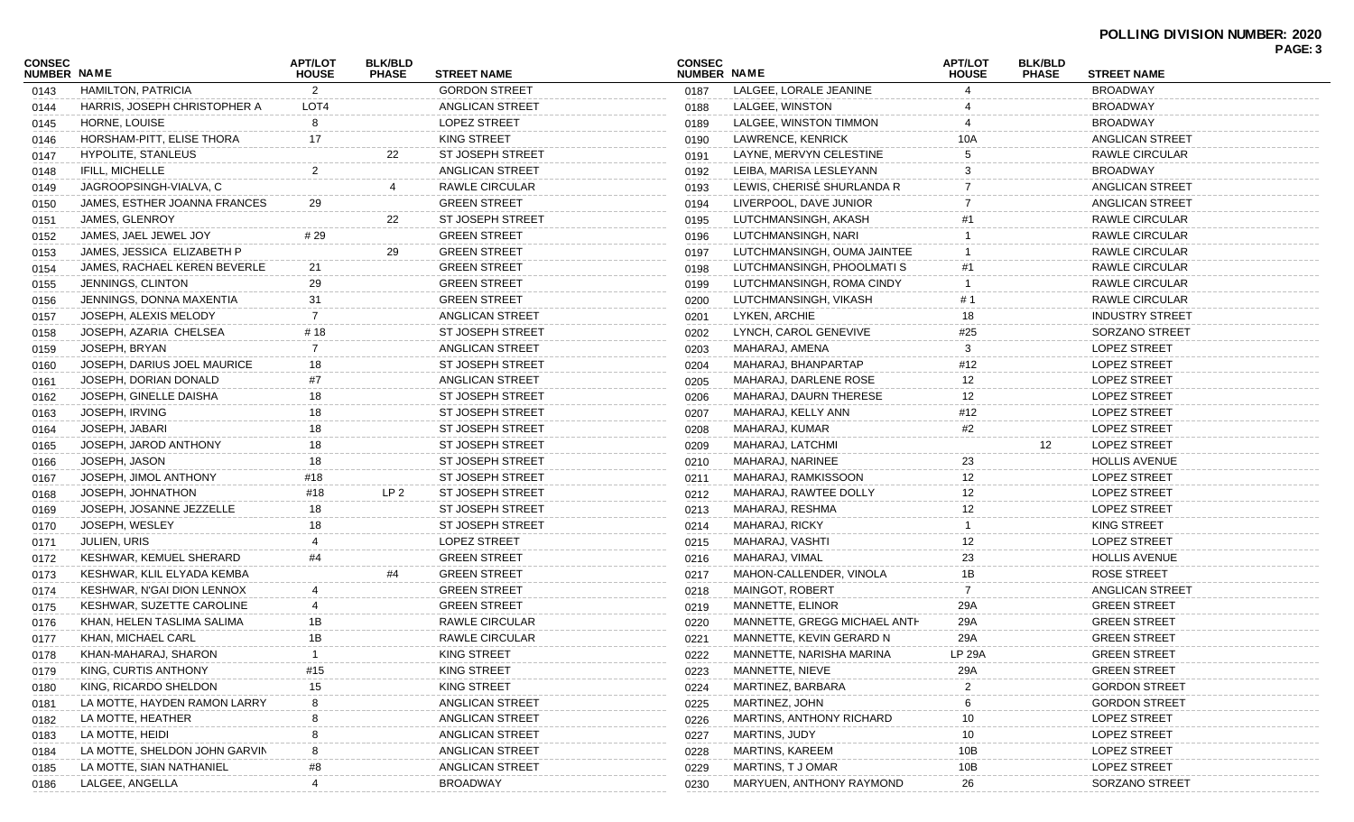|                              |                               |                                |                                |                         |                              |                                 |                                |                                |                        | PAGE: 3 |
|------------------------------|-------------------------------|--------------------------------|--------------------------------|-------------------------|------------------------------|---------------------------------|--------------------------------|--------------------------------|------------------------|---------|
| <b>CONSEC</b><br>NUMBER NAME |                               | <b>APT/LOT</b><br><b>HOUSE</b> | <b>BLK/BLD</b><br><b>PHASE</b> | <b>STREET NAME</b>      | <b>CONSEC</b><br>NUMBER NAME |                                 | <b>APT/LOT</b><br><b>HOUSE</b> | <b>BLK/BLD</b><br><b>PHASE</b> | <b>STREET NAME</b>     |         |
| 0143                         | HAMILTON, PATRICIA            | 2                              |                                | <b>GORDON STREET</b>    | 0187                         | LALGEE, LORALE JEANINE          |                                |                                | <b>BROADWAY</b>        |         |
| 0144                         | HARRIS, JOSEPH CHRISTOPHER A  | LOT4                           |                                | ANGLICAN STREET         | 0188                         | LALGEE, WINSTON                 |                                |                                | <b>BROADWAY</b>        |         |
| 0145                         | HORNE, LOUISE                 | 8                              |                                | <b>LOPEZ STREET</b>     | 0189                         | LALGEE, WINSTON TIMMON          |                                |                                | <b>BROADWAY</b>        |         |
| 0146                         | HORSHAM-PITT, ELISE THORA     | 17                             |                                | KING STREET             | 0190                         | LAWRENCE, KENRICK               | 10A                            |                                | ANGLICAN STREET        |         |
| 0147                         | HYPOLITE, STANLEUS            |                                | 22                             | <b>ST JOSEPH STREET</b> | 0191                         | LAYNE, MERVYN CELESTINE         |                                |                                | RAWLE CIRCULAR         |         |
| 0148                         | IFILL, MICHELLE               | 2                              |                                | ANGLICAN STREET         | 0192                         | LEIBA, MARISA LESLEYANN         |                                |                                | <b>BROADWAY</b>        |         |
| 0149                         | JAGROOPSINGH-VIALVA, C        |                                |                                | RAWLE CIRCULAR          | 0193                         | LEWIS, CHERISÉ SHURLANDA R      |                                |                                | ANGLICAN STREET        |         |
| 0150                         | JAMES, ESTHER JOANNA FRANCES  | 29                             |                                | <b>GREEN STREET</b>     | 0194                         | LIVERPOOL, DAVE JUNIOR          |                                |                                | ANGLICAN STREET        |         |
| 0151                         | JAMES, GLENROY                |                                | 22                             | <b>ST JOSEPH STREET</b> | 0195                         | LUTCHMANSINGH, AKASH            |                                |                                | RAWLE CIRCULAR         |         |
| 0152                         | JAMES, JAEL JEWEL JOY         | #29                            |                                | <b>GREEN STREET</b>     | 0196                         | LUTCHMANSINGH, NARI             |                                |                                | <b>RAWLE CIRCULAR</b>  |         |
| 0153                         | JAMES, JESSICA ELIZABETH P    |                                | 29                             | <b>GREEN STREET</b>     | 0197                         | LUTCHMANSINGH, OUMA JAINTEE     |                                |                                | RAWLE CIRCULAR         |         |
| 0154                         | JAMES, RACHAEL KEREN BEVERLET | 21                             |                                | <b>GREEN STREET</b>     | 0198                         | LUTCHMANSINGH, PHOOLMATI S      | #1                             |                                | RAWLE CIRCULAR         |         |
| 0155                         | JENNINGS, CLINTON             | 29                             |                                | <b>GREEN STREET</b>     | 0199                         | LUTCHMANSINGH, ROMA CINDY       |                                |                                | <b>RAWLE CIRCULAR</b>  |         |
| 0156                         | JENNINGS, DONNA MAXENTIA      | 31                             |                                | <b>GREEN STREET</b>     | 0200                         | LUTCHMANSINGH, VIKASH           | # 1                            |                                | <b>RAWLE CIRCULAR</b>  |         |
| 0157                         | JOSEPH, ALEXIS MELODY         | $\overline{7}$                 |                                | ANGLICAN STREET         | 0201                         | LYKEN, ARCHIE                   | 18                             |                                | <b>INDUSTRY STREET</b> |         |
| 0158                         | JOSEPH, AZARIA CHELSEA        | # 18                           |                                | <b>ST JOSEPH STREET</b> | 0202                         | LYNCH, CAROL GENEVIVE           | #25                            |                                | SORZANO STREET         |         |
| 0159                         | JOSEPH, BRYAN                 | 7                              |                                | ANGLICAN STREET         | 0203                         | MAHARAJ, AMENA                  | 3                              |                                | <b>LOPEZ STREET</b>    |         |
| 0160                         | JOSEPH, DARIUS JOEL MAURICE   | 18                             |                                | <b>ST JOSEPH STREET</b> | 0204                         | MAHARAJ, BHANPARTAP             | #12                            |                                | <b>LOPEZ STREET</b>    |         |
| 0161                         | JOSEPH, DORIAN DONALD         | #7                             |                                | ANGLICAN STREET         | 0205                         | MAHARAJ, DARLENE ROSE           | 12                             |                                | <b>LOPEZ STREET</b>    |         |
| 0162                         | JOSEPH, GINELLE DAISHA        | 18                             |                                | <b>ST JOSEPH STREET</b> | 0206                         | MAHARAJ, DAURN THERESE          | 12                             |                                | <b>LOPEZ STREET</b>    |         |
| 0163                         | JOSEPH, IRVING                | 18                             |                                | <b>ST JOSEPH STREET</b> | 0207                         | MAHARAJ, KELLY ANN              | #12                            |                                | <b>LOPEZ STREET</b>    |         |
| 0164                         | JOSEPH, JABARI                | 18                             |                                | <b>ST JOSEPH STREET</b> | 0208                         | MAHARAJ, KUMAR                  | #2                             |                                | <b>LOPEZ STREET</b>    |         |
| 0165                         | JOSEPH, JAROD ANTHONY         | 18                             |                                | <b>ST JOSEPH STREET</b> | 0209                         | MAHARAJ, LATCHMI                |                                | 12                             | <b>LOPEZ STREET</b>    |         |
| 0166                         | JOSEPH, JASON                 | 18                             |                                | <b>ST JOSEPH STREET</b> | 0210                         | MAHARAJ, NARINEE                | 23                             |                                | <b>HOLLIS AVENUE</b>   |         |
| 0167                         | JOSEPH, JIMOL ANTHONY         | #18                            |                                | <b>ST JOSEPH STREET</b> | 0211                         | MAHARAJ, RAMKISSOON             | 12                             |                                | <b>LOPEZ STREET</b>    |         |
| 0168                         | JOSEPH, JOHNATHON             | #18                            | LP <sub>2</sub>                | <b>ST JOSEPH STREET</b> | 0212                         | MAHARAJ, RAWTEE DOLLY           | 12                             |                                | <b>LOPEZ STREET</b>    |         |
| 0169                         | JOSEPH, JOSANNE JEZZELLE      | 18                             |                                | <b>ST JOSEPH STREET</b> | 0213                         | MAHARAJ, RESHMA                 | 12                             |                                | <b>LOPEZ STREET</b>    |         |
| 0170                         | JOSEPH, WESLEY                | 18                             |                                | <b>ST JOSEPH STREET</b> | 0214                         | MAHARAJ, RICKY                  |                                |                                | KING STREET            |         |
| 0171                         | JULIEN, URIS                  |                                |                                | <b>LOPEZ STREET</b>     | 0215                         | MAHARAJ, VASHTI                 | 12                             |                                | <b>LOPEZ STREET</b>    |         |
| 0172                         | KESHWAR, KEMUEL SHERARD       | #4                             |                                | <b>GREEN STREET</b>     | 0216                         | MAHARAJ, VIMAL                  | 23                             |                                | <b>HOLLIS AVENUE</b>   |         |
| 0173                         | KESHWAR, KLIL ELYADA KEMBA    |                                | #4                             | <b>GREEN STREET</b>     | 0217                         | MAHON-CALLENDER, VINOLA         | 1B                             |                                | <b>ROSE STREET</b>     |         |
| 0174                         | KESHWAR, N'GAI DION LENNOX    | 4                              |                                | <b>GREEN STREET</b>     | 0218                         | <b>MAINGOT, ROBERT</b>          |                                |                                | ANGLICAN STREET        |         |
| 0175                         | KESHWAR, SUZETTE CAROLINE     | 4                              |                                | <b>GREEN STREET</b>     | 0219                         | MANNETTE, ELINOR                | 29A                            |                                | <b>GREEN STREET</b>    |         |
| 0176                         | KHAN, HELEN TASLIMA SALIMA    | 1B                             |                                | <b>RAWLE CIRCULAR</b>   | 0220                         | MANNETTE, GREGG MICHAEL ANTH    | 29A                            |                                | <b>GREEN STREET</b>    |         |
| 0177                         | KHAN, MICHAEL CARL            | 1B                             |                                | RAWLE CIRCULAR          | 0221                         | MANNETTE, KEVIN GERARD N        | 29A                            |                                | <b>GREEN STREET</b>    |         |
| 0178                         | KHAN-MAHARAJ, SHARON          | $\overline{1}$                 |                                | KING STREET             | 0222                         | MANNETTE, NARISHA MARINA        | <b>LP 29A</b>                  |                                | <b>GREEN STREET</b>    |         |
| 0179                         | KING, CURTIS ANTHONY          | #15                            |                                | <b>KING STREET</b>      | 0223                         | MANNETTE, NIEVE                 | 29A                            |                                | <b>GREEN STREET</b>    |         |
| 0180                         | KING, RICARDO SHELDON         | 15                             |                                | <b>KING STREET</b>      | 0224                         | MARTINEZ, BARBARA               |                                |                                | <b>GORDON STREET</b>   |         |
| 0181                         | LA MOTTE, HAYDEN RAMON LARRY  | 8                              |                                | ANGLICAN STREET         | 0225                         | MARTINEZ, JOHN                  |                                |                                | <b>GORDON STREET</b>   |         |
| 0182                         | LA MOTTE, HEATHER             |                                |                                | ANGLICAN STREET         | 0226                         | <b>MARTINS, ANTHONY RICHARD</b> | 10                             |                                | <b>LOPEZ STREET</b>    |         |
| 0183                         | LA MOTTE, HEIDI               |                                |                                | ANGLICAN STREET         | 0227                         | MARTINS, JUDY                   | 10                             |                                | <b>LOPEZ STREET</b>    |         |
| 0184                         | LA MOTTE, SHELDON JOHN GARVIN |                                |                                | ANGLICAN STREET         | 0228                         | <b>MARTINS, KAREEM</b>          | 10B                            |                                | <b>LOPEZ STREET</b>    |         |
| 0185                         | LA MOTTE, SIAN NATHANIEL      | #8                             |                                | ANGLICAN STREET         | 0229                         | MARTINS, TJ OMAR                | 10B                            |                                | <b>LOPEZ STREET</b>    |         |
| 0186                         | LALGEE, ANGELLA               |                                |                                | <b>BROADWAY</b>         | 0230                         | MARYUEN, ANTHONY RAYMOND        | 26                             |                                | SORZANO STREET         |         |
|                              |                               |                                |                                |                         |                              |                                 |                                |                                |                        |         |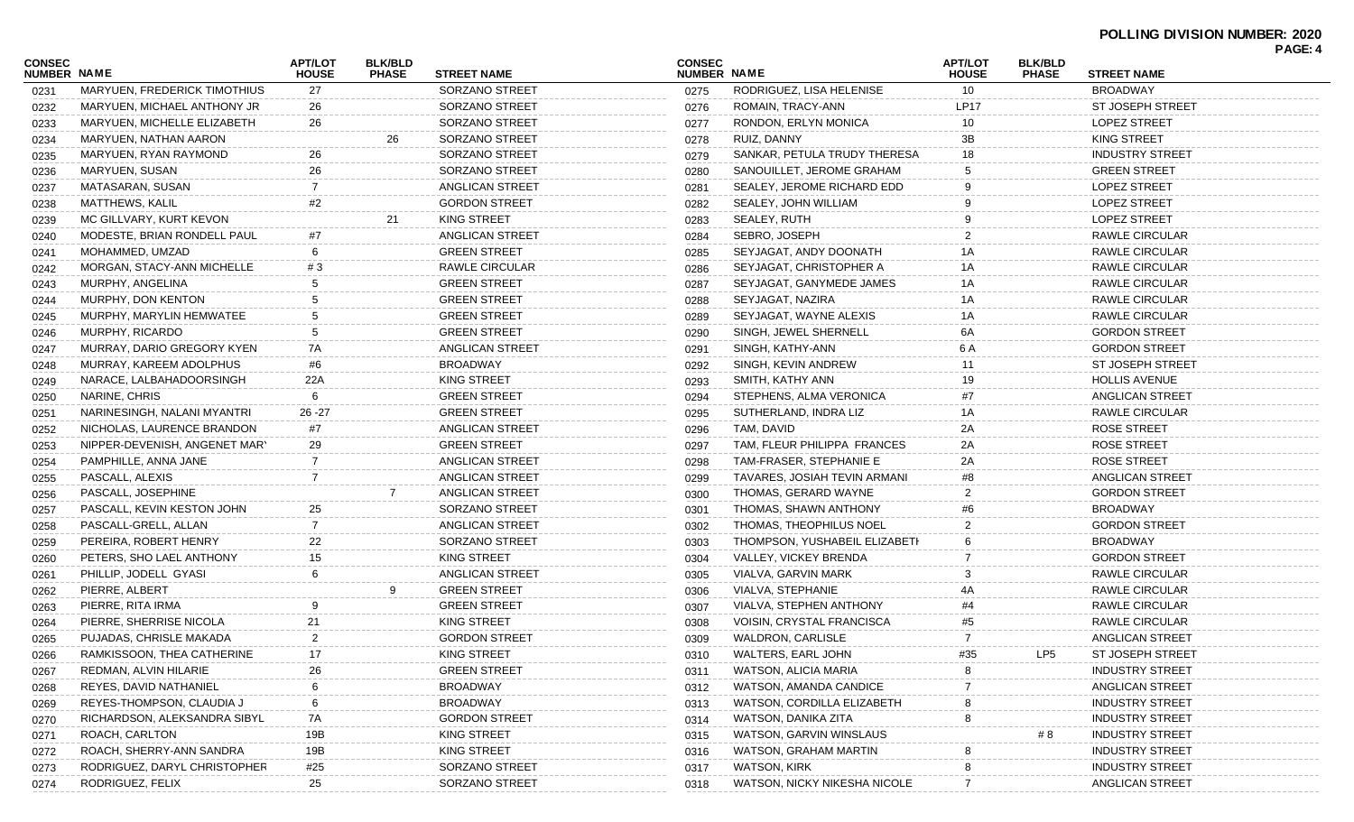|                              |                               |                                |                                |                       |                              |                                |                                |                                |                         | PAGE: 4 |
|------------------------------|-------------------------------|--------------------------------|--------------------------------|-----------------------|------------------------------|--------------------------------|--------------------------------|--------------------------------|-------------------------|---------|
| CONSEC<br><b>NUMBER NAME</b> |                               | <b>APT/LOT</b><br><b>HOUSE</b> | <b>BLK/BLD</b><br><b>PHASE</b> | <b>STREET NAME</b>    | <b>CONSEC</b><br>NUMBER NAME |                                | <b>APT/LOT</b><br><b>HOUSE</b> | <b>BLK/BLD</b><br><b>PHASE</b> | <b>STREET NAME</b>      |         |
| 0231                         | MARYUEN, FREDERICK TIMOTHIUS  | 27                             |                                | SORZANO STREET        | 0275                         | RODRIGUEZ, LISA HELENISE       | 10                             |                                | <b>BROADWAY</b>         |         |
| 0232                         | MARYUEN, MICHAEL ANTHONY JR   | 26                             |                                | SORZANO STREET        | 0276                         | ROMAIN, TRACY-ANN              | <b>LP17</b>                    |                                | <b>ST JOSEPH STREET</b> |         |
| 0233                         | MARYUEN, MICHELLE ELIZABETH   | 26                             |                                | <b>SORZANO STREET</b> | 0277                         | RONDON, ERLYN MONICA           | 10                             |                                | <b>LOPEZ STREET</b>     |         |
| 0234                         | MARYUEN, NATHAN AARON         |                                | 26                             | SORZANO STREET        | 0278                         | RUIZ, DANNY                    | 3B                             |                                | <b>KING STREET</b>      |         |
| 0235                         | MARYUEN, RYAN RAYMOND         | 26                             |                                | SORZANO STREET        | 0279                         | SANKAR, PETULA TRUDY THERESA   | 18                             |                                | <b>INDUSTRY STREET</b>  |         |
| 0236                         | MARYUEN, SUSAN                | 26                             |                                | SORZANO STREET        | 0280                         | SANOUILLET, JEROME GRAHAM      |                                |                                | <b>GREEN STREET</b>     |         |
| 0237                         | MATASARAN, SUSAN              |                                |                                | ANGLICAN STREET       | 0281                         | SEALEY, JEROME RICHARD EDD     |                                |                                | <b>LOPEZ STREET</b>     |         |
| 0238                         | <b>MATTHEWS, KALIL</b>        | #2                             |                                | <b>GORDON STREET</b>  | 0282                         | SEALEY, JOHN WILLIAM           |                                |                                | <b>LOPEZ STREET</b>     |         |
| 0239                         | MC GILLVARY, KURT KEVON       |                                | 21                             | <b>KING STREET</b>    | 0283                         | SEALEY, RUTH                   |                                |                                | <b>LOPEZ STREET</b>     |         |
| 0240                         | MODESTE, BRIAN RONDELL PAUL   | #7                             |                                | ANGLICAN STREET       | 0284                         | SEBRO, JOSEPH                  |                                |                                | RAWLE CIRCULAR          |         |
| 0241                         | MOHAMMED, UMZAD               | 6                              |                                | <b>GREEN STREET</b>   | 0285                         | SEYJAGAT, ANDY DOONATH         |                                |                                | RAWLE CIRCULAR          |         |
| 0242                         | MORGAN, STACY-ANN MICHELLE    | #3                             |                                | <b>RAWLE CIRCULAR</b> | 0286                         | SEYJAGAT, CHRISTOPHER A        |                                |                                | RAWLE CIRCULAR          |         |
| 0243                         | MURPHY, ANGELINA              | 5                              |                                | <b>GREEN STREET</b>   | 0287                         | SEYJAGAT, GANYMEDE JAMES       | 1Α                             |                                | RAWLE CIRCULAR          |         |
| 0244                         | MURPHY, DON KENTON            | 5                              |                                | <b>GREEN STREET</b>   | 0288                         | SEYJAGAT, NAZIRA               | 1A                             |                                | RAWLE CIRCULAR          |         |
| 0245                         | MURPHY, MARYLIN HEMWATEE      | 5                              |                                | <b>GREEN STREET</b>   | 0289                         | SEYJAGAT, WAYNE ALEXIS         | 1A                             |                                | RAWLE CIRCULAR          |         |
| 0246                         | MURPHY, RICARDO               | 5                              |                                | <b>GREEN STREET</b>   | 0290                         | SINGH, JEWEL SHERNELL          | 6A                             |                                | <b>GORDON STREET</b>    |         |
| 0247                         | MURRAY, DARIO GREGORY KYEN    | 7A                             |                                | ANGLICAN STREET       | 0291                         | SINGH, KATHY-ANN               | 6 A                            |                                | <b>GORDON STREET</b>    |         |
| 0248                         | MURRAY, KAREEM ADOLPHUS       | #6                             |                                | <b>BROADWAY</b>       | 0292                         | SINGH, KEVIN ANDREW            | 11                             |                                | <b>ST JOSEPH STREET</b> |         |
| 0249                         | NARACE, LALBAHADOORSINGH      | 22A                            |                                | <b>KING STREET</b>    | 0293                         | SMITH, KATHY ANN               | 19                             |                                | <b>HOLLIS AVENUE</b>    |         |
| 0250                         | NARINE, CHRIS                 | 6                              |                                | <b>GREEN STREET</b>   | 0294                         | STEPHENS, ALMA VERONICA        |                                |                                | ANGLICAN STREET         |         |
| 0251                         | NARINESINGH, NALANI MYANTRI   | 26 -27                         |                                | <b>GREEN STREET</b>   | 0295                         | SUTHERLAND, INDRA LIZ          |                                |                                | <b>RAWLE CIRCULAR</b>   |         |
| 0252                         | NICHOLAS, LAURENCE BRANDON    | #7                             |                                | ANGLICAN STREET       | 0296                         | TAM, DAVID                     | 2A                             |                                | ROSE STREET             |         |
| 0253                         | NIPPER-DEVENISH, ANGENET MARY | 29                             |                                | <b>GREEN STREET</b>   | 0297                         | TAM, FLEUR PHILIPPA FRANCES    | 2A                             |                                | ROSE STREET             |         |
| 0254                         | PAMPHILLE, ANNA JANE          | 7                              |                                | ANGLICAN STREET       | 0298                         | TAM-FRASER, STEPHANIE E        | 2A                             |                                | <b>ROSE STREET</b>      |         |
| 0255                         | PASCALL, ALEXIS               |                                |                                | ANGLICAN STREET       | 0299                         | TAVARES, JOSIAH TEVIN ARMANI   | #8                             |                                | ANGLICAN STREET         |         |
| 0256                         | PASCALL, JOSEPHINE            |                                |                                | ANGLICAN STREET       | 0300                         | THOMAS, GERARD WAYNE           |                                |                                | <b>GORDON STREET</b>    |         |
| 0257                         | PASCALL, KEVIN KESTON JOHN    | 25                             |                                | SORZANO STREET        | 0301                         | THOMAS, SHAWN ANTHONY          | #6                             |                                | <b>BROADWAY</b>         |         |
| 0258                         | PASCALL-GRELL, ALLAN          | 7                              |                                | ANGLICAN STREET       | 0302                         | THOMAS, THEOPHILUS NOEL        |                                |                                | <b>GORDON STREET</b>    |         |
| 0259                         | PEREIRA, ROBERT HENRY         | 22                             |                                | SORZANO STREET        | 0303                         | THOMPSON, YUSHABEIL ELIZABETH  |                                |                                | <b>BROADWAY</b>         |         |
| 0260                         | PETERS, SHO LAEL ANTHONY      | 15                             |                                | <b>KING STREET</b>    | 0304                         | VALLEY, VICKEY BRENDA          |                                |                                | <b>GORDON STREET</b>    |         |
| 0261                         | PHILLIP, JODELL GYASI         | 6                              |                                | ANGLICAN STREET       | 0305                         | VIALVA, GARVIN MARK            |                                |                                | RAWLE CIRCULAR          |         |
| 0262                         | PIERRE, ALBERT                |                                | 9                              | <b>GREEN STREET</b>   | 0306                         | VIALVA, STEPHANIE              | 4A                             |                                | RAWLE CIRCULAR          |         |
| 0263                         | PIERRE, RITA IRMA             |                                |                                | <b>GREEN STREET</b>   | 0307                         | VIALVA, STEPHEN ANTHONY        |                                |                                | RAWLE CIRCULAR          |         |
| 0264                         | PIERRE, SHERRISE NICOLA       | 21                             |                                | <b>KING STREET</b>    | 0308                         | VOISIN, CRYSTAL FRANCISCA      |                                |                                | RAWLE CIRCULAR          |         |
| 0265                         | PUJADAS, CHRISLE MAKADA       | 2                              |                                | <b>GORDON STREET</b>  | 0309                         | <b>WALDRON, CARLISLE</b>       | 7                              |                                | ANGLICAN STREET         |         |
| 0266                         | RAMKISSOON, THEA CATHERINE    | 17                             |                                | KING STREET           | 0310                         | WALTERS, EARL JOHN             | #35                            | LP5                            | <b>ST JOSEPH STREET</b> |         |
| 0267                         | REDMAN, ALVIN HILARIE         | 26                             |                                | <b>GREEN STREET</b>   | 0311                         | WATSON, ALICIA MARIA           |                                |                                | <b>INDUSTRY STREET</b>  |         |
| 0268                         | REYES, DAVID NATHANIEL        |                                |                                | <b>BROADWAY</b>       | 0312                         | <b>WATSON, AMANDA CANDICE</b>  |                                |                                | <b>ANGLICAN STREET</b>  |         |
| 0269                         | REYES-THOMPSON, CLAUDIA J     | 6                              |                                | <b>BROADWAY</b>       | 0313                         | WATSON, CORDILLA ELIZABETH     |                                |                                | <b>INDUSTRY STREET</b>  |         |
| 0270                         | RICHARDSON, ALEKSANDRA SIBYL  | 7A                             |                                | <b>GORDON STREET</b>  | 0314                         | WATSON, DANIKA ZITA            |                                |                                | <b>INDUSTRY STREET</b>  |         |
| 0271                         | ROACH, CARLTON                | 19B                            |                                | <b>KING STREET</b>    | 0315                         | <b>WATSON, GARVIN WINSLAUS</b> |                                | # 8                            | <b>INDUSTRY STREET</b>  |         |
| 0272                         | ROACH, SHERRY-ANN SANDRA      | 19B                            |                                | <b>KING STREET</b>    | 0316                         | WATSON, GRAHAM MARTIN          |                                |                                | <b>INDUSTRY STREET</b>  |         |
| 0273                         | RODRIGUEZ, DARYL CHRISTOPHER  | #25                            |                                | SORZANO STREET        | 0317                         | <b>WATSON, KIRK</b>            |                                |                                | <b>INDUSTRY STREET</b>  |         |
| 0274                         | RODRIGUEZ, FELIX              | 25                             |                                | SORZANO STREET        | 0318                         | WATSON, NICKY NIKESHA NICOLE   |                                |                                | ANGLICAN STREET         |         |
|                              |                               |                                |                                |                       |                              |                                |                                |                                |                         |         |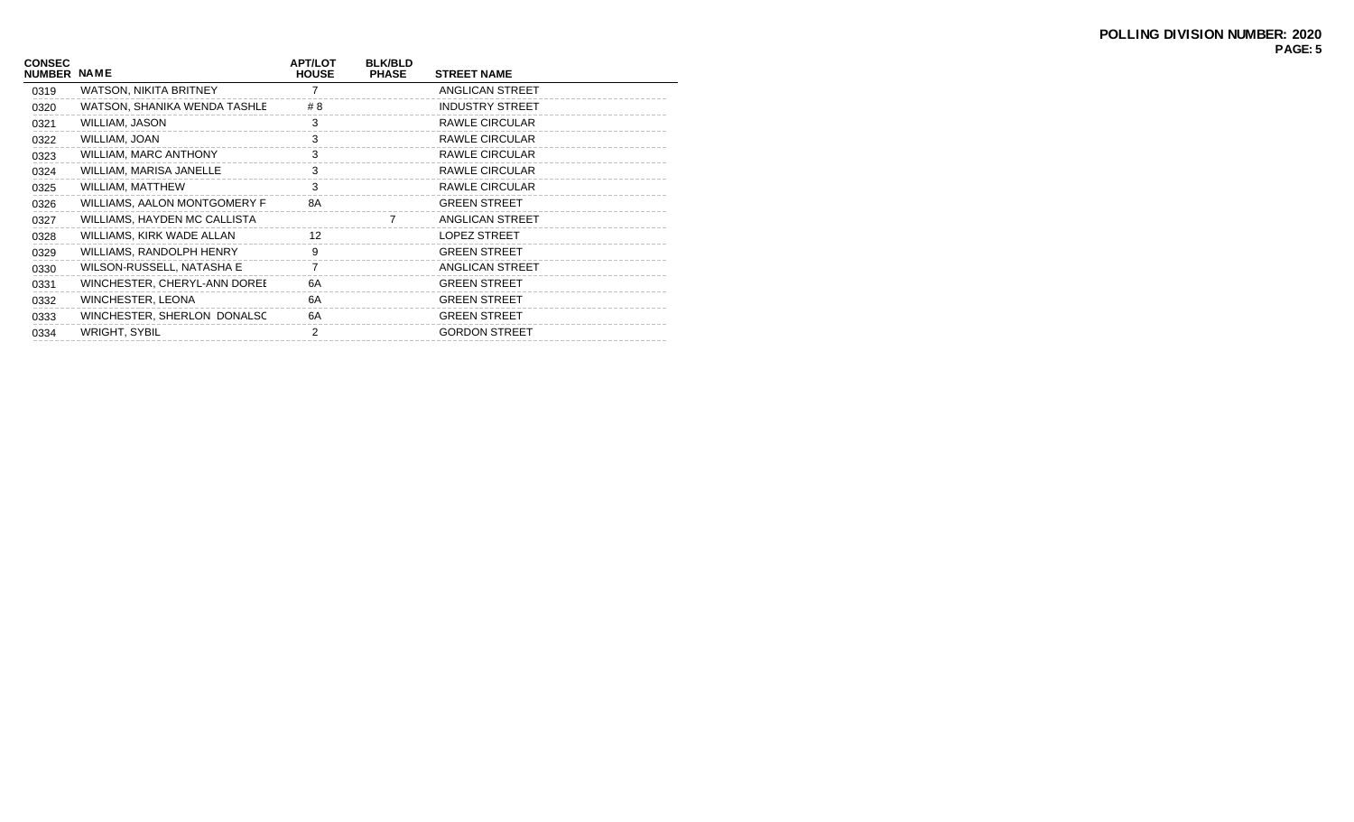| <b>NUMBER NAME</b>            | <b>APT/LOT</b><br><b>HOUSE</b> | <b>BLK/BLD</b><br><b>PHASE</b> | <b>STREET NAME</b>     |
|-------------------------------|--------------------------------|--------------------------------|------------------------|
| <b>WATSON, NIKITA BRITNEY</b> |                                |                                | ANGLICAN STREET        |
| WATSON, SHANIKA WENDA TASHLE  | # 8                            |                                | <b>INDUSTRY STREET</b> |
| WILLIAM, JASON                | 3                              |                                | RAWLE CIRCULAR         |
| WILLIAM, JOAN                 | 3                              |                                | RAWLE CIRCULAR         |
| WILLIAM, MARC ANTHONY         | 3                              |                                | RAWLE CIRCULAR         |
| WILLIAM, MARISA JANELLE       | 3                              |                                | RAWLE CIRCULAR         |
| WILLIAM, MATTHEW              | 3                              |                                | RAWLE CIRCULAR         |
| WILLIAMS, AALON MONTGOMERY F  | 8A                             |                                | <b>GREEN STREET</b>    |
| WILLIAMS, HAYDEN MC CALLISTA  |                                | 7                              | ANGLICAN STREET        |
| WILLIAMS, KIRK WADE ALLAN     | 12                             |                                | <b>LOPEZ STREET</b>    |
| WILLIAMS, RANDOLPH HENRY      | 9                              |                                | <b>GREEN STREET</b>    |
| WILSON-RUSSELL, NATASHA E     |                                |                                | ANGLICAN STREET        |
| WINCHESTER, CHERYL-ANN DOREE  | 6A                             |                                | <b>GREEN STREET</b>    |
| WINCHESTER, LEONA             | 6A                             |                                | <b>GREEN STREET</b>    |
| WINCHESTER, SHERLON DONALSC   | 6A                             |                                | <b>GREEN STREET</b>    |
| <b>WRIGHT, SYBIL</b>          | 2                              |                                | <b>GORDON STREET</b>   |
|                               |                                |                                |                        |